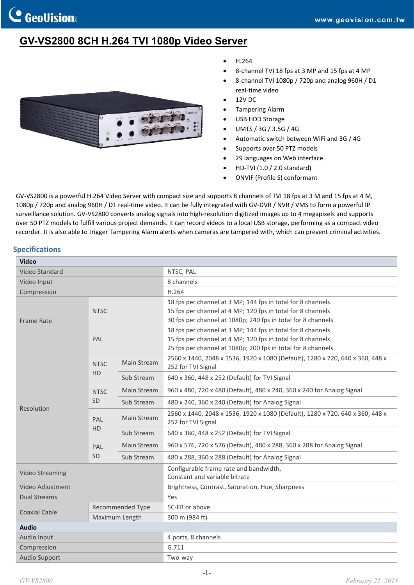# **GV-VS2800 8CH H.264 TVI 1080p Video Server**



- H.264
- 8-channel TVI 18 fps at 3 MP and 15 fps at 4 MP
- 8-channel TVI 1080p / 720p and analog 960H / D1 real-time video
- 12V DC
- Tampering Alarm
- USB HDD Storage
- UMTS / 3G / 3.5G / 4G
- Automatic switch between WiFi and 3G / 4G
- Supports over 50 PTZ models
- 29 languages on Web interface
- HD-TVI (1.0 / 2.0 standard)
- ONVIF (Profile S) conformant

GV-VS2800 is a powerful H.264 Video Server with compact size and supports 8 channels of TVI 18 fps at 3 M and 15 fps at 4 M, 1080p / 720p and analog 960H / D1 real-time video. It can be fully integrated with GV-DVR / NVR / VMS to form a powerful IP surveillance solution. GV-VS2800 converts analog signals into high-resolution digitized images up to 4 megapixels and supports over 50 PTZ models to fulfill various project demands. It can record videos to a local USB storage, performing as a compact video recorder. It is also able to trigger Tampering Alarm alerts when cameras are tampered with, which can prevent criminal activities.

#### **Specifications**

| <b>Video</b>           |                  |             |                                                                                                     |
|------------------------|------------------|-------------|-----------------------------------------------------------------------------------------------------|
| Video Standard         |                  |             | NTSC, PAL                                                                                           |
| Video Input            |                  |             | 8 channels                                                                                          |
| Compression            |                  |             | H.264                                                                                               |
|                        |                  |             | 18 fps per channel at 3 MP; 144 fps in total for 8 channels                                         |
|                        | <b>NTSC</b>      |             | 15 fps per channel at 4 MP; 120 fps in total for 8 channels                                         |
| <b>Frame Rate</b>      |                  |             | 30 fps per channel at 1080p; 240 fps in total for 8 channels                                        |
|                        |                  |             | 18 fps per channel at 3 MP; 144 fps in total for 8 channels                                         |
|                        | PAL              |             | 15 fps per channel at 4 MP; 120 fps in total for 8 channels                                         |
|                        |                  |             | 25 fps per channel at 1080p; 200 fps in total for 8 channels                                        |
|                        | <b>NTSC</b>      | Main Stream | 2560 x 1440, 2048 x 1536, 1920 x 1080 (Default), 1280 x 720, 640 x 360, 448 x<br>252 for TVI Signal |
|                        | <b>HD</b>        | Sub Stream  | 640 x 360, 448 x 252 (Default) for TVI Signal                                                       |
|                        | <b>NTSC</b>      | Main Stream | 960 x 480, 720 x 480 (Default), 480 x 240, 360 x 240 for Analog Signal                              |
|                        | <b>SD</b>        | Sub Stream  | 480 x 240, 360 x 240 (Default) for Analog Signal                                                    |
| Resolution             | PAL<br>HD        | Main Stream | 2560 x 1440, 2048 x 1536, 1920 x 1080 (Default), 1280 x 720, 640 x 360, 448 x<br>252 for TVI Signal |
|                        |                  | Sub Stream  | 640 x 360, 448 x 252 (Default) for TVI Signal                                                       |
|                        | PAL              | Main Stream | 960 x 576, 720 x 576 (Default), 480 x 288, 360 x 288 for Analog Signal                              |
|                        | SD               | Sub Stream  | 480 x 288, 360 x 288 (Default) for Analog Signal                                                    |
| <b>Video Streaming</b> |                  |             | Configurable frame rate and bandwidth,<br>Constant and variable bitrate                             |
| Video Adjustment       |                  |             | Brightness, Contrast, Saturation, Hue, Sharpness                                                    |
| <b>Dual Streams</b>    |                  |             | Yes                                                                                                 |
|                        | Recommended Type |             | 5C-FB or above                                                                                      |
| <b>Coaxial Cable</b>   | Maximum Length   |             | 300 m (984 ft)                                                                                      |
| <b>Audio</b>           |                  |             |                                                                                                     |
| Audio Input            |                  |             | 4 ports, 8 channels                                                                                 |
| Compression            |                  |             | G.711                                                                                               |
| <b>Audio Support</b>   |                  |             | Two-way                                                                                             |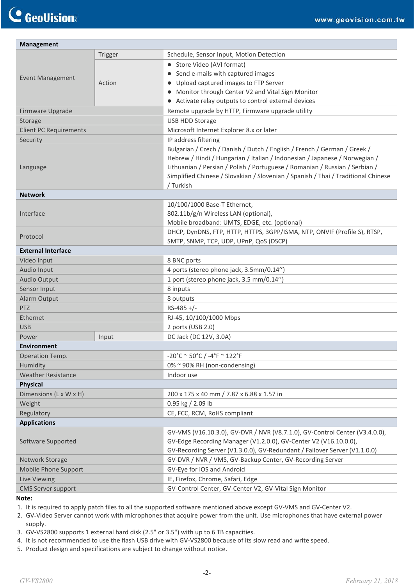| <b>Management</b>             |         |                                                                                                                                                                                                                                                                                                                                         |  |
|-------------------------------|---------|-----------------------------------------------------------------------------------------------------------------------------------------------------------------------------------------------------------------------------------------------------------------------------------------------------------------------------------------|--|
| <b>Event Management</b>       | Trigger | Schedule, Sensor Input, Motion Detection                                                                                                                                                                                                                                                                                                |  |
|                               |         | • Store Video (AVI format)                                                                                                                                                                                                                                                                                                              |  |
|                               |         | • Send e-mails with captured images                                                                                                                                                                                                                                                                                                     |  |
|                               | Action  | • Upload captured images to FTP Server                                                                                                                                                                                                                                                                                                  |  |
|                               |         | • Monitor through Center V2 and Vital Sign Monitor                                                                                                                                                                                                                                                                                      |  |
|                               |         | • Activate relay outputs to control external devices                                                                                                                                                                                                                                                                                    |  |
| Firmware Upgrade              |         | Remote upgrade by HTTP, Firmware upgrade utility                                                                                                                                                                                                                                                                                        |  |
| Storage                       |         | <b>USB HDD Storage</b>                                                                                                                                                                                                                                                                                                                  |  |
| <b>Client PC Requirements</b> |         | Microsoft Internet Explorer 8.x or later                                                                                                                                                                                                                                                                                                |  |
| Security                      |         | IP address filtering                                                                                                                                                                                                                                                                                                                    |  |
| Language                      |         | Bulgarian / Czech / Danish / Dutch / English / French / German / Greek /<br>Hebrew / Hindi / Hungarian / Italian / Indonesian / Japanese / Norwegian /<br>Lithuanian / Persian / Polish / Portuguese / Romanian / Russian / Serbian /<br>Simplified Chinese / Slovakian / Slovenian / Spanish / Thai / Traditional Chinese<br>/ Turkish |  |
| <b>Network</b>                |         |                                                                                                                                                                                                                                                                                                                                         |  |
|                               |         | 10/100/1000 Base-T Ethernet,                                                                                                                                                                                                                                                                                                            |  |
| Interface                     |         | 802.11b/g/n Wireless LAN (optional),                                                                                                                                                                                                                                                                                                    |  |
|                               |         | Mobile broadband: UMTS, EDGE, etc. (optional)                                                                                                                                                                                                                                                                                           |  |
| Protocol                      |         | DHCP, DynDNS, FTP, HTTP, HTTPS, 3GPP/ISMA, NTP, ONVIF (Profile S), RTSP,                                                                                                                                                                                                                                                                |  |
|                               |         | SMTP, SNMP, TCP, UDP, UPnP, QoS (DSCP)                                                                                                                                                                                                                                                                                                  |  |
| <b>External Interface</b>     |         |                                                                                                                                                                                                                                                                                                                                         |  |
| Video Input                   |         | 8 BNC ports                                                                                                                                                                                                                                                                                                                             |  |
| Audio Input                   |         | 4 ports (stereo phone jack, 3.5mm/0.14")                                                                                                                                                                                                                                                                                                |  |
| <b>Audio Output</b>           |         | 1 port (stereo phone jack, 3.5 mm/0.14")                                                                                                                                                                                                                                                                                                |  |
| Sensor Input                  |         | 8 inputs                                                                                                                                                                                                                                                                                                                                |  |
| Alarm Output                  |         | 8 outputs                                                                                                                                                                                                                                                                                                                               |  |
| <b>PTZ</b>                    |         | $RS-485$ +/-                                                                                                                                                                                                                                                                                                                            |  |
| Ethernet                      |         | RJ-45, 10/100/1000 Mbps                                                                                                                                                                                                                                                                                                                 |  |
| <b>USB</b>                    |         | 2 ports (USB 2.0)                                                                                                                                                                                                                                                                                                                       |  |
| Power<br>Environment          | Input   | DC Jack (DC 12V, 3.0A)                                                                                                                                                                                                                                                                                                                  |  |
| Operation Temp.               |         | $-20^{\circ}$ C ~ 50°C / $-4^{\circ}$ F ~ 122°F                                                                                                                                                                                                                                                                                         |  |
| Humidity                      |         | 0% ~ 90% RH (non-condensing)                                                                                                                                                                                                                                                                                                            |  |
| <b>Weather Resistance</b>     |         | Indoor use                                                                                                                                                                                                                                                                                                                              |  |
| <b>Physical</b>               |         |                                                                                                                                                                                                                                                                                                                                         |  |
| Dimensions (L x W x H)        |         | 200 x 175 x 40 mm / 7.87 x 6.88 x 1.57 in                                                                                                                                                                                                                                                                                               |  |
| Weight                        |         | 0.95 kg / 2.09 lb                                                                                                                                                                                                                                                                                                                       |  |
| Regulatory                    |         | CE, FCC, RCM, RoHS compliant                                                                                                                                                                                                                                                                                                            |  |
| <b>Applications</b>           |         |                                                                                                                                                                                                                                                                                                                                         |  |
| Software Supported            |         | GV-VMS (V16.10.3.0), GV-DVR / NVR (V8.7.1.0), GV-Control Center (V3.4.0.0),<br>GV-Edge Recording Manager (V1.2.0.0), GV-Center V2 (V16.10.0.0),<br>GV-Recording Server (V1.3.0.0), GV-Redundant / Failover Server (V1.1.0.0)                                                                                                            |  |
| Network Storage               |         | GV-DVR / NVR / VMS, GV-Backup Center, GV-Recording Server                                                                                                                                                                                                                                                                               |  |
| Mobile Phone Support          |         | GV-Eye for iOS and Android                                                                                                                                                                                                                                                                                                              |  |
| Live Viewing                  |         | IE, Firefox, Chrome, Safari, Edge                                                                                                                                                                                                                                                                                                       |  |
| <b>CMS Server support</b>     |         | GV-Control Center, GV-Center V2, GV-Vital Sign Monitor                                                                                                                                                                                                                                                                                  |  |
|                               |         |                                                                                                                                                                                                                                                                                                                                         |  |

#### **Note:**

1. It is required to apply patch files to all the supported software mentioned above except GV-VMS and GV-Center V2.

- 2. GV‐Video Server cannot work with microphones that acquire power from the unit. Use microphones that have external power supply.
- 3. GV-VS2800 supports 1 external hard disk (2.5" or 3.5") with up to 6 TB capacities.
- 4. It is not recommended to use the flash USB drive with GV-VS2800 because of its slow read and write speed.
- 5. Product design and specifications are subject to change without notice.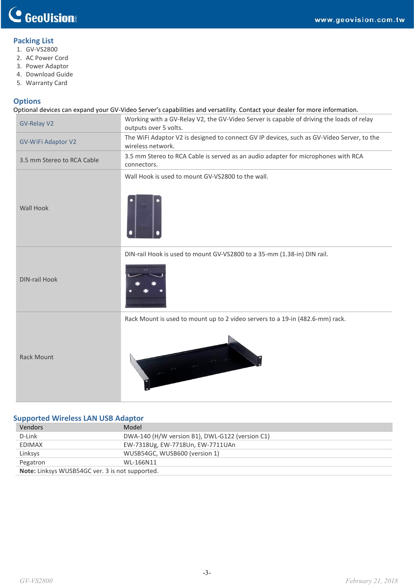### **Packing List**

- 1. GV-VS2800
- 2. AC Power Cord
- 3. Power Adaptor
- 4. Download Guide
- 5. Warranty Card

#### **Options**

Optional devices can expand your GV-Video Server's capabilities and versatility. Contact your dealer for more information.

| <b>GV-Relay V2</b>         | Working with a GV-Relay V2, the GV-Video Server is capable of driving the loads of relay<br>outputs over 5 volts. |  |  |
|----------------------------|-------------------------------------------------------------------------------------------------------------------|--|--|
| GV-WiFi Adaptor V2         | The WiFi Adaptor V2 is designed to connect GV IP devices, such as GV-Video Server, to the<br>wireless network.    |  |  |
| 3.5 mm Stereo to RCA Cable | 3.5 mm Stereo to RCA Cable is served as an audio adapter for microphones with RCA<br>connectors.                  |  |  |
| <b>Wall Hook</b>           | Wall Hook is used to mount GV-VS2800 to the wall.                                                                 |  |  |
| <b>DIN-rail Hook</b>       | DIN-rail Hook is used to mount GV-VS2800 to a 35-mm (1.38-in) DIN rail.                                           |  |  |
| <b>Rack Mount</b>          | Rack Mount is used to mount up to 2 video servers to a 19-in (482.6-mm) rack.                                     |  |  |

### **Supported Wireless LAN USB Adaptor**

| <b>Vendors</b>                                         | Model                                           |  |
|--------------------------------------------------------|-------------------------------------------------|--|
| D-Link                                                 | DWA-140 (H/W version B1), DWL-G122 (version C1) |  |
| <b>EDIMAX</b>                                          | EW-7318Ug, EW-7718Un, EW-7711UAn                |  |
| Linksys                                                | WUSB54GC, WUSB600 (version 1)                   |  |
| Pegatron                                               | WL-166N11                                       |  |
| <b>Note:</b> Linksys WUSB54GC ver. 3 is not supported. |                                                 |  |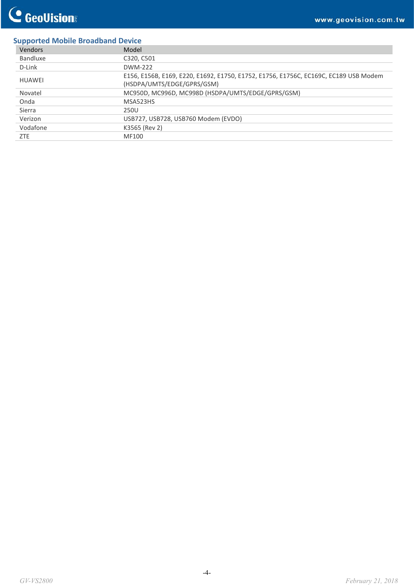## **Supported Mobile Broadband Device**

| Vendors       | Model                                                                                                              |
|---------------|--------------------------------------------------------------------------------------------------------------------|
| Bandluxe      | C320, C501                                                                                                         |
| D-Link        | DWM-222                                                                                                            |
| <b>HUAWEI</b> | E156, E156B, E169, E220, E1692, E1750, E1752, E1756, E1756C, EC169C, EC189 USB Modem<br>(HSDPA/UMTS/EDGE/GPRS/GSM) |
| Novatel       | MC950D, MC996D, MC998D (HSDPA/UMTS/EDGE/GPRS/GSM)                                                                  |
| Onda          | MSA523HS                                                                                                           |
| Sierra        | 250U                                                                                                               |
| Verizon       | USB727, USB728, USB760 Modem (EVDO)                                                                                |
| Vodafone      | K3565 (Rev 2)                                                                                                      |
| <b>ZTE</b>    | MF100                                                                                                              |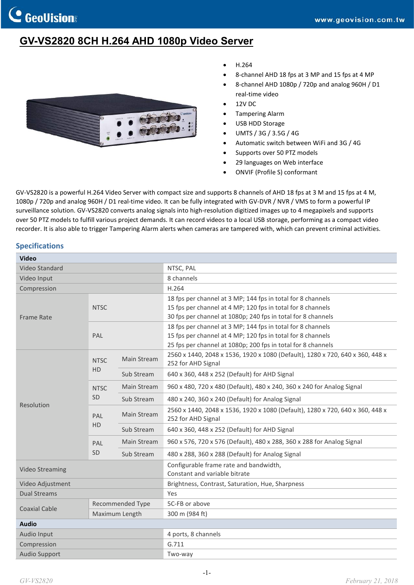# **GV-VS2820 8CH H.264 AHD 1080p Video Server**



- H.264
- 8-channel AHD 18 fps at 3 MP and 15 fps at 4 MP
- 8-channel AHD 1080p / 720p and analog 960H / D1 real-time video
- 12V DC
- Tampering Alarm
- USB HDD Storage
- UMTS / 3G / 3.5G / 4G
- Automatic switch between WiFi and 3G / 4G
- Supports over 50 PTZ models
- 29 languages on Web interface
- ONVIF (Profile S) conformant

GV-VS2820 is a powerful H.264 Video Server with compact size and supports 8 channels of AHD 18 fps at 3 M and 15 fps at 4 M, 1080p / 720p and analog 960H / D1 real-time video. It can be fully integrated with GV-DVR / NVR / VMS to form a powerful IP surveillance solution. GV-VS2820 converts analog signals into high-resolution digitized images up to 4 megapixels and supports over 50 PTZ models to fulfill various project demands. It can record videos to a local USB storage, performing as a compact video recorder. It is also able to trigger Tampering Alarm alerts when cameras are tampered with, which can prevent criminal activities.

#### **Specifications**

| <b>Video</b>           |                         |             |                                                                                                     |
|------------------------|-------------------------|-------------|-----------------------------------------------------------------------------------------------------|
| Video Standard         |                         |             | NTSC, PAL                                                                                           |
| Video Input            |                         |             | 8 channels                                                                                          |
| Compression            |                         |             | H.264                                                                                               |
|                        | <b>NTSC</b>             |             | 18 fps per channel at 3 MP; 144 fps in total for 8 channels                                         |
|                        |                         |             | 15 fps per channel at 4 MP; 120 fps in total for 8 channels                                         |
| Frame Rate             |                         |             | 30 fps per channel at 1080p; 240 fps in total for 8 channels                                        |
|                        |                         |             | 18 fps per channel at 3 MP; 144 fps in total for 8 channels                                         |
|                        | PAL                     |             | 15 fps per channel at 4 MP; 120 fps in total for 8 channels                                         |
|                        |                         |             | 25 fps per channel at 1080p; 200 fps in total for 8 channels                                        |
|                        | <b>NTSC</b>             | Main Stream | 2560 x 1440, 2048 x 1536, 1920 x 1080 (Default), 1280 x 720, 640 x 360, 448 x<br>252 for AHD Signal |
|                        | <b>HD</b>               | Sub Stream  | 640 x 360, 448 x 252 (Default) for AHD Signal                                                       |
|                        | <b>NTSC</b><br>SD       | Main Stream | 960 x 480, 720 x 480 (Default), 480 x 240, 360 x 240 for Analog Signal                              |
| Resolution             |                         | Sub Stream  | 480 x 240, 360 x 240 (Default) for Analog Signal                                                    |
|                        | PAL<br><b>HD</b>        | Main Stream | 2560 x 1440, 2048 x 1536, 1920 x 1080 (Default), 1280 x 720, 640 x 360, 448 x<br>252 for AHD Signal |
|                        |                         | Sub Stream  | 640 x 360, 448 x 252 (Default) for AHD Signal                                                       |
|                        | PAL                     | Main Stream | 960 x 576, 720 x 576 (Default), 480 x 288, 360 x 288 for Analog Signal                              |
|                        | <b>SD</b>               | Sub Stream  | 480 x 288, 360 x 288 (Default) for Analog Signal                                                    |
| <b>Video Streaming</b> |                         |             | Configurable frame rate and bandwidth,<br>Constant and variable bitrate                             |
| Video Adjustment       |                         |             | Brightness, Contrast, Saturation, Hue, Sharpness                                                    |
| <b>Dual Streams</b>    |                         |             | Yes                                                                                                 |
| <b>Coaxial Cable</b>   | <b>Recommended Type</b> |             | 5C-FB or above                                                                                      |
|                        | Maximum Length          |             | 300 m (984 ft)                                                                                      |
| <b>Audio</b>           |                         |             |                                                                                                     |
| Audio Input            |                         |             | 4 ports, 8 channels                                                                                 |
| Compression            |                         |             | G.711                                                                                               |
| <b>Audio Support</b>   |                         |             | Two-way                                                                                             |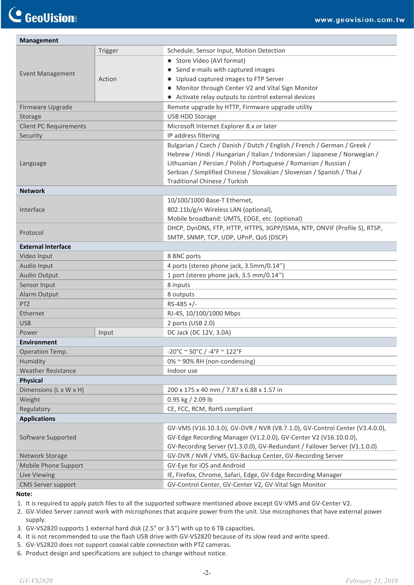| <b>Management</b>             |         |                                                                                                                                        |  |
|-------------------------------|---------|----------------------------------------------------------------------------------------------------------------------------------------|--|
| <b>Event Management</b>       | Trigger | Schedule, Sensor Input, Motion Detection                                                                                               |  |
|                               |         | • Store Video (AVI format)                                                                                                             |  |
|                               |         | • Send e-mails with captured images                                                                                                    |  |
|                               | Action  | • Upload captured images to FTP Server                                                                                                 |  |
|                               |         | • Monitor through Center V2 and Vital Sign Monitor                                                                                     |  |
|                               |         | • Activate relay outputs to control external devices                                                                                   |  |
| Firmware Upgrade              |         | Remote upgrade by HTTP, Firmware upgrade utility                                                                                       |  |
| Storage                       |         | USB HDD Storage                                                                                                                        |  |
| <b>Client PC Requirements</b> |         | Microsoft Internet Explorer 8.x or later                                                                                               |  |
| Security                      |         | IP address filtering                                                                                                                   |  |
|                               |         | Bulgarian / Czech / Danish / Dutch / English / French / German / Greek /                                                               |  |
|                               |         | Hebrew / Hindi / Hungarian / Italian / Indonesian / Japanese / Norwegian /                                                             |  |
| Language                      |         | Lithuanian / Persian / Polish / Portuguese / Romanian / Russian /                                                                      |  |
|                               |         | Serbian / Simplified Chinese / Slovakian / Slovenian / Spanish / Thai /                                                                |  |
|                               |         | Traditional Chinese / Turkish                                                                                                          |  |
| <b>Network</b>                |         |                                                                                                                                        |  |
|                               |         | 10/100/1000 Base-T Ethernet,                                                                                                           |  |
| Interface                     |         | 802.11b/g/n Wireless LAN (optional),                                                                                                   |  |
|                               |         | Mobile broadband: UMTS, EDGE, etc. (optional)                                                                                          |  |
| Protocol                      |         | DHCP, DynDNS, FTP, HTTP, HTTPS, 3GPP/ISMA, NTP, ONVIF (Profile S), RTSP,                                                               |  |
|                               |         | SMTP, SNMP, TCP, UDP, UPnP, QoS (DSCP)                                                                                                 |  |
| <b>External Interface</b>     |         |                                                                                                                                        |  |
| Video Input                   |         | 8 BNC ports                                                                                                                            |  |
| Audio Input                   |         | 4 ports (stereo phone jack, 3.5mm/0.14")                                                                                               |  |
| <b>Audio Output</b>           |         | 1 port (stereo phone jack, 3.5 mm/0.14")                                                                                               |  |
| Sensor Input                  |         | 8 inputs                                                                                                                               |  |
| <b>Alarm Output</b>           |         | 8 outputs                                                                                                                              |  |
| <b>PTZ</b>                    |         | $RS-485$ +/-                                                                                                                           |  |
| Ethernet                      |         | RJ-45, 10/100/1000 Mbps                                                                                                                |  |
| <b>USB</b>                    |         | 2 ports (USB 2.0)                                                                                                                      |  |
| Power                         | Input   | DC Jack (DC 12V, 3.0A)                                                                                                                 |  |
| <b>Environment</b>            |         |                                                                                                                                        |  |
| Operation Temp.               |         | $-20^{\circ}$ C ~ 50°C / $-4^{\circ}$ F ~ 122°F                                                                                        |  |
| Humidity                      |         | 0% ~ 90% RH (non-condensing)                                                                                                           |  |
| <b>Weather Resistance</b>     |         | Indoor use                                                                                                                             |  |
| <b>Physical</b>               |         |                                                                                                                                        |  |
| Dimensions (L x W x H)        |         | 200 x 175 x 40 mm / 7.87 x 6.88 x 1.57 in                                                                                              |  |
| Weight                        |         | 0.95 kg / 2.09 lb                                                                                                                      |  |
| Regulatory                    |         | CE, FCC, RCM, RoHS compliant                                                                                                           |  |
| <b>Applications</b>           |         |                                                                                                                                        |  |
|                               |         | GV-VMS (V16.10.3.0), GV-DVR / NVR (V8.7.1.0), GV-Control Center (V3.4.0.0),                                                            |  |
| Software Supported            |         | GV-Edge Recording Manager (V1.2.0.0), GV-Center V2 (V16.10.0.0),                                                                       |  |
|                               |         | GV-Recording Server (V1.3.0.0), GV-Redundant / Failover Server (V1.1.0.0)<br>GV-DVR / NVR / VMS, GV-Backup Center, GV-Recording Server |  |
| Network Storage               |         | GV-Eye for iOS and Android                                                                                                             |  |
| Mobile Phone Support          |         | IE, Firefox, Chrome, Safari, Edge, GV-Edge Recording Manager                                                                           |  |
| Live Viewing                  |         |                                                                                                                                        |  |
| <b>CMS Server support</b>     |         | GV-Control Center, GV-Center V2, GV-Vital Sign Monitor                                                                                 |  |

**Note:**

1. It is required to apply patch files to all the supported software mentioned above except GV-VMS and GV-Center V2.

- 2. GV‐Video Server cannot work with microphones that acquire power from the unit. Use microphones that have external power supply.
- 3. GV-VS2820 supports 1 external hard disk (2.5" or 3.5") with up to 6 TB capacities.
- 4. It is not recommended to use the flash USB drive with GV-VS2820 because of its slow read and write speed.
- 5. GV-VS2820 does not support coaxial cable connection with PTZ cameras.
- 6. Product design and specifications are subject to change without notice.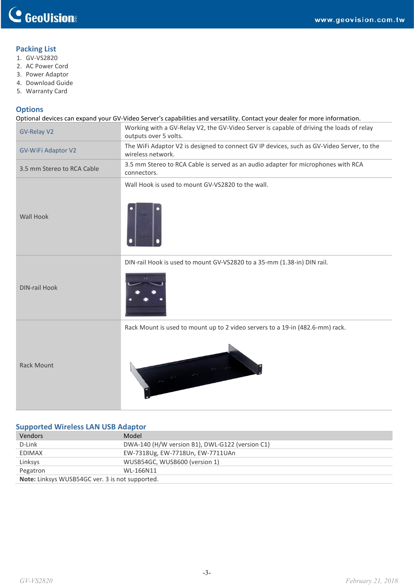## **Packing List**

- 1. GV-VS2820
- 2. AC Power Cord
- 3. Power Adaptor
- 4. Download Guide
- 5. Warranty Card

### **Options**

Optional devices can expand your GV-Video Server's capabilities and versatility. Contact your dealer for more information.

| <b>GV-Relay V2</b>         | Working with a GV-Relay V2, the GV-Video Server is capable of driving the loads of relay<br>outputs over 5 volts. |  |  |
|----------------------------|-------------------------------------------------------------------------------------------------------------------|--|--|
| <b>GV-WiFi Adaptor V2</b>  | The WiFi Adaptor V2 is designed to connect GV IP devices, such as GV-Video Server, to the<br>wireless network.    |  |  |
| 3.5 mm Stereo to RCA Cable | 3.5 mm Stereo to RCA Cable is served as an audio adapter for microphones with RCA<br>connectors.                  |  |  |
| <b>Wall Hook</b>           | Wall Hook is used to mount GV-VS2820 to the wall.                                                                 |  |  |
| <b>DIN-rail Hook</b>       | DIN-rail Hook is used to mount GV-VS2820 to a 35-mm (1.38-in) DIN rail.                                           |  |  |
| <b>Rack Mount</b>          | Rack Mount is used to mount up to 2 video servers to a 19-in (482.6-mm) rack.                                     |  |  |

### **Supported Wireless LAN USB Adaptor**

| Vendors                                                | Model                                           |  |
|--------------------------------------------------------|-------------------------------------------------|--|
| D-Link                                                 | DWA-140 (H/W version B1), DWL-G122 (version C1) |  |
| EDIMAX                                                 | EW-7318Ug, EW-7718Un, EW-7711UAn                |  |
| Linksys                                                | WUSB54GC, WUSB600 (version 1)                   |  |
| Pegatron                                               | WL-166N11                                       |  |
| <b>Note:</b> Linksys WUSB54GC ver. 3 is not supported. |                                                 |  |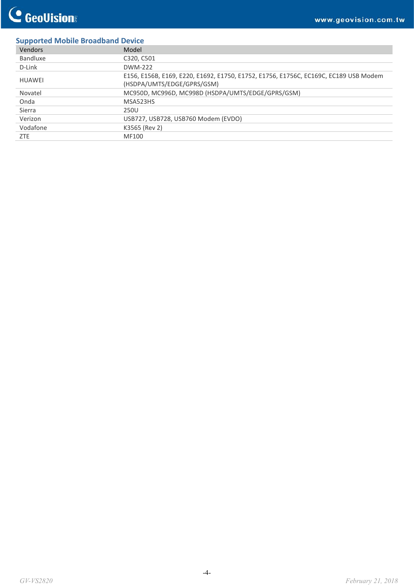## **Supported Mobile Broadband Device**

| Vendors       | Model                                                                                                              |
|---------------|--------------------------------------------------------------------------------------------------------------------|
| Bandluxe      | C320, C501                                                                                                         |
| D-Link        | DWM-222                                                                                                            |
| <b>HUAWEI</b> | E156, E156B, E169, E220, E1692, E1750, E1752, E1756, E1756C, EC169C, EC189 USB Modem<br>(HSDPA/UMTS/EDGE/GPRS/GSM) |
| Novatel       | MC950D, MC996D, MC998D (HSDPA/UMTS/EDGE/GPRS/GSM)                                                                  |
| Onda          | MSA523HS                                                                                                           |
| Sierra        | 250U                                                                                                               |
| Verizon       | USB727, USB728, USB760 Modem (EVDO)                                                                                |
| Vodafone      | K3565 (Rev 2)                                                                                                      |
| ZTE           | MF100                                                                                                              |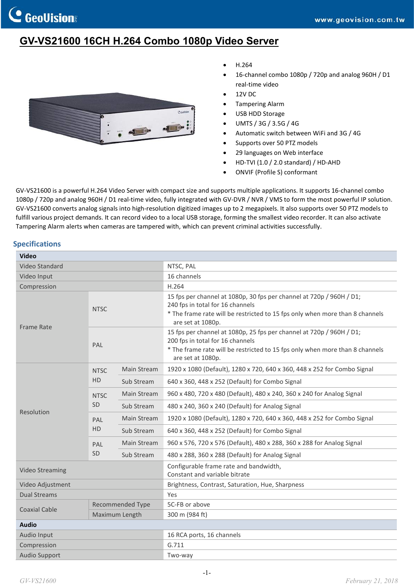# **GV-VS21600 16CH H.264 Combo 1080p Video Server**



- H.264
- 16-channel combo 1080p / 720p and analog 960H / D1 real-time video
- 12V DC
- Tampering Alarm
- USB HDD Storage
- UMTS / 3G / 3.5G / 4G
- Automatic switch between WiFi and 3G / 4G
- Supports over 50 PTZ models
- 29 languages on Web interface
- HD-TVI (1.0 / 2.0 standard) / HD-AHD
- ONVIF (Profile S) conformant

GV-VS21600 is a powerful H.264 Video Server with compact size and supports multiple applications. It supports 16-channel combo 1080p / 720p and analog 960H / D1 real-time video, fully integrated with GV-DVR / NVR / VMS to form the most powerful IP solution. GV-VS21600 converts analog signals into high-resolution digitized images up to 2 megapixels. It also supports over 50 PTZ models to fulfill various project demands. It can record video to a local USB storage, forming the smallest video recorder. It can also activate Tampering Alarm alerts when cameras are tampered with, which can prevent criminal activities successfully.

#### **Specifications**

| <b>Video</b>           |                         |             |                                                                                                                                                                                                               |
|------------------------|-------------------------|-------------|---------------------------------------------------------------------------------------------------------------------------------------------------------------------------------------------------------------|
| <b>Video Standard</b>  |                         |             | NTSC, PAL                                                                                                                                                                                                     |
| Video Input            |                         |             | 16 channels                                                                                                                                                                                                   |
| Compression            |                         |             | H.264                                                                                                                                                                                                         |
| <b>Frame Rate</b>      | <b>NTSC</b>             |             | 15 fps per channel at 1080p, 30 fps per channel at 720p / 960H / D1;<br>240 fps in total for 16 channels<br>* The frame rate will be restricted to 15 fps only when more than 8 channels<br>are set at 1080p. |
|                        | PAL                     |             | 15 fps per channel at 1080p, 25 fps per channel at 720p / 960H / D1;<br>200 fps in total for 16 channels<br>* The frame rate will be restricted to 15 fps only when more than 8 channels<br>are set at 1080p. |
|                        | <b>NTSC</b>             | Main Stream | 1920 x 1080 (Default), 1280 x 720, 640 x 360, 448 x 252 for Combo Signal                                                                                                                                      |
|                        | HD                      | Sub Stream  | 640 x 360, 448 x 252 (Default) for Combo Signal                                                                                                                                                               |
|                        | <b>NTSC</b><br>SD       | Main Stream | 960 x 480, 720 x 480 (Default), 480 x 240, 360 x 240 for Analog Signal                                                                                                                                        |
|                        |                         | Sub Stream  | 480 x 240, 360 x 240 (Default) for Analog Signal                                                                                                                                                              |
| Resolution             | PAL<br><b>HD</b>        | Main Stream | 1920 x 1080 (Default), 1280 x 720, 640 x 360, 448 x 252 for Combo Signal                                                                                                                                      |
|                        |                         | Sub Stream  | 640 x 360, 448 x 252 (Default) for Combo Signal                                                                                                                                                               |
|                        | PAL                     | Main Stream | 960 x 576, 720 x 576 (Default), 480 x 288, 360 x 288 for Analog Signal                                                                                                                                        |
|                        | <b>SD</b>               | Sub Stream  | 480 x 288, 360 x 288 (Default) for Analog Signal                                                                                                                                                              |
| <b>Video Streaming</b> |                         |             | Configurable frame rate and bandwidth,<br>Constant and variable bitrate                                                                                                                                       |
| Video Adjustment       |                         |             | Brightness, Contrast, Saturation, Hue, Sharpness                                                                                                                                                              |
| Dual Streams           |                         |             | Yes                                                                                                                                                                                                           |
| <b>Coaxial Cable</b>   | <b>Recommended Type</b> |             | 5C-FB or above                                                                                                                                                                                                |
|                        | Maximum Length          |             | 300 m (984 ft)                                                                                                                                                                                                |
| <b>Audio</b>           |                         |             |                                                                                                                                                                                                               |
| Audio Input            |                         |             | 16 RCA ports, 16 channels                                                                                                                                                                                     |
| Compression            |                         |             | G.711                                                                                                                                                                                                         |
| <b>Audio Support</b>   |                         |             | Two-way                                                                                                                                                                                                       |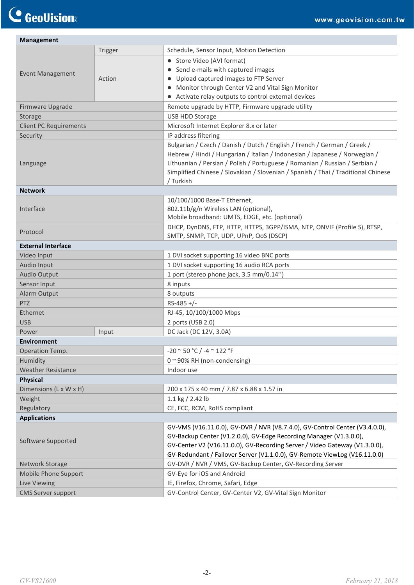| <b>Management</b>             |         |                                                                                                                                                                                                                                                                                                                                         |  |  |  |
|-------------------------------|---------|-----------------------------------------------------------------------------------------------------------------------------------------------------------------------------------------------------------------------------------------------------------------------------------------------------------------------------------------|--|--|--|
| <b>Event Management</b>       | Trigger | Schedule, Sensor Input, Motion Detection                                                                                                                                                                                                                                                                                                |  |  |  |
|                               |         | • Store Video (AVI format)                                                                                                                                                                                                                                                                                                              |  |  |  |
|                               |         | • Send e-mails with captured images                                                                                                                                                                                                                                                                                                     |  |  |  |
|                               | Action  | • Upload captured images to FTP Server                                                                                                                                                                                                                                                                                                  |  |  |  |
|                               |         | • Monitor through Center V2 and Vital Sign Monitor                                                                                                                                                                                                                                                                                      |  |  |  |
|                               |         | • Activate relay outputs to control external devices                                                                                                                                                                                                                                                                                    |  |  |  |
| Firmware Upgrade              |         | Remote upgrade by HTTP, Firmware upgrade utility                                                                                                                                                                                                                                                                                        |  |  |  |
| Storage                       |         | USB HDD Storage                                                                                                                                                                                                                                                                                                                         |  |  |  |
| <b>Client PC Requirements</b> |         | Microsoft Internet Explorer 8.x or later                                                                                                                                                                                                                                                                                                |  |  |  |
| Security                      |         | IP address filtering                                                                                                                                                                                                                                                                                                                    |  |  |  |
| Language                      |         | Bulgarian / Czech / Danish / Dutch / English / French / German / Greek /<br>Hebrew / Hindi / Hungarian / Italian / Indonesian / Japanese / Norwegian /<br>Lithuanian / Persian / Polish / Portuguese / Romanian / Russian / Serbian /<br>Simplified Chinese / Slovakian / Slovenian / Spanish / Thai / Traditional Chinese<br>/ Turkish |  |  |  |
| <b>Network</b>                |         |                                                                                                                                                                                                                                                                                                                                         |  |  |  |
| Interface                     |         | 10/100/1000 Base-T Ethernet,<br>802.11b/g/n Wireless LAN (optional),<br>Mobile broadband: UMTS, EDGE, etc. (optional)                                                                                                                                                                                                                   |  |  |  |
| Protocol                      |         | DHCP, DynDNS, FTP, HTTP, HTTPS, 3GPP/ISMA, NTP, ONVIF (Profile S), RTSP,<br>SMTP, SNMP, TCP, UDP, UPnP, QoS (DSCP)                                                                                                                                                                                                                      |  |  |  |
| <b>External Interface</b>     |         |                                                                                                                                                                                                                                                                                                                                         |  |  |  |
| Video Input                   |         | 1 DVI socket supporting 16 video BNC ports                                                                                                                                                                                                                                                                                              |  |  |  |
| Audio Input                   |         | 1 DVI socket supporting 16 audio RCA ports                                                                                                                                                                                                                                                                                              |  |  |  |
| <b>Audio Output</b>           |         | 1 port (stereo phone jack, 3.5 mm/0.14")                                                                                                                                                                                                                                                                                                |  |  |  |
| Sensor Input                  |         | 8 inputs                                                                                                                                                                                                                                                                                                                                |  |  |  |
| Alarm Output                  |         | 8 outputs                                                                                                                                                                                                                                                                                                                               |  |  |  |
| <b>PTZ</b>                    |         | $RS-485$ +/-                                                                                                                                                                                                                                                                                                                            |  |  |  |
| Ethernet                      |         | RJ-45, 10/100/1000 Mbps                                                                                                                                                                                                                                                                                                                 |  |  |  |
| <b>USB</b>                    |         | 2 ports (USB 2.0)                                                                                                                                                                                                                                                                                                                       |  |  |  |
| Power                         | Input   | DC Jack (DC 12V, 3.0A)                                                                                                                                                                                                                                                                                                                  |  |  |  |
| <b>Environment</b>            |         |                                                                                                                                                                                                                                                                                                                                         |  |  |  |
| Operation Temp.               |         | $-20$ ~ 50 °C / -4 ~ 122 °F                                                                                                                                                                                                                                                                                                             |  |  |  |
| Humidity                      |         | $0$ ~ 90% RH (non-condensing)                                                                                                                                                                                                                                                                                                           |  |  |  |
| <b>Weather Resistance</b>     |         | Indoor use                                                                                                                                                                                                                                                                                                                              |  |  |  |
| <b>Physical</b>               |         |                                                                                                                                                                                                                                                                                                                                         |  |  |  |
| Dimensions (L x W x H)        |         | 200 x 175 x 40 mm / 7.87 x 6.88 x 1.57 in                                                                                                                                                                                                                                                                                               |  |  |  |
| Weight                        |         | 1.1 kg $/$ 2.42 lb                                                                                                                                                                                                                                                                                                                      |  |  |  |
| Regulatory                    |         | CE, FCC, RCM, RoHS compliant                                                                                                                                                                                                                                                                                                            |  |  |  |
| <b>Applications</b>           |         |                                                                                                                                                                                                                                                                                                                                         |  |  |  |
| Software Supported            |         | GV-VMS (V16.11.0.0), GV-DVR / NVR (V8.7.4.0), GV-Control Center (V3.4.0.0),<br>GV-Backup Center (V1.2.0.0), GV-Edge Recording Manager (V1.3.0.0),<br>GV-Center V2 (V16.11.0.0), GV-Recording Server / Video Gateway (V1.3.0.0),<br>GV-Redundant / Failover Server (V1.1.0.0), GV-Remote ViewLog (V16.11.0.0)                            |  |  |  |
| Network Storage               |         | GV-DVR / NVR / VMS, GV-Backup Center, GV-Recording Server                                                                                                                                                                                                                                                                               |  |  |  |
| Mobile Phone Support          |         | GV-Eye for iOS and Android                                                                                                                                                                                                                                                                                                              |  |  |  |
| Live Viewing                  |         | IE, Firefox, Chrome, Safari, Edge                                                                                                                                                                                                                                                                                                       |  |  |  |
| <b>CMS Server support</b>     |         | GV-Control Center, GV-Center V2, GV-Vital Sign Monitor                                                                                                                                                                                                                                                                                  |  |  |  |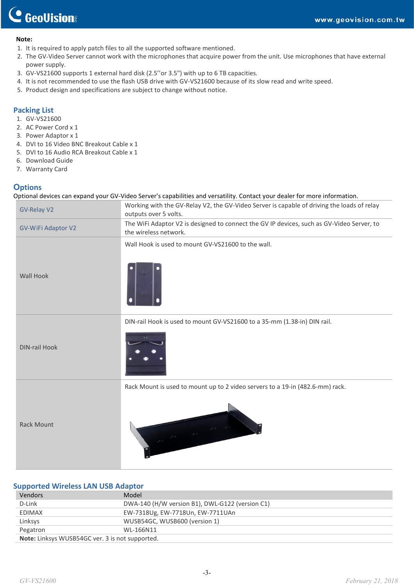#### **Note:**

- 1. It is required to apply patch files to all the supported software mentioned.
- 2. The GV‐Video Server cannot work with the microphones that acquire power from the unit. Use microphones that have external power supply.
- 3. GV-VS21600 supports 1 external hard disk (2.5''or 3.5") with up to 6 TB capacities.
- 4. It is not recommended to use the flash USB drive with GV-VS21600 because of its slow read and write speed.
- 5. Product design and specifications are subject to change without notice.

#### **Packing List**

- 1. GV-VS21600
- 2. AC Power Cord x 1
- 3. Power Adaptor x 1
- 4. DVI to 16 Video BNC Breakout Cable x 1
- 5. DVI to 16 Audio RCA Breakout Cable x 1
- 6. Download Guide
- 7. Warranty Card

### **Options**

Optional devices can expand your GV-Video Server's capabilities and versatility. Contact your dealer for more information.

| <b>GV-Relay V2</b>   | Working with the GV-Relay V2, the GV-Video Server is capable of driving the loads of relay<br>outputs over 5 volts. |
|----------------------|---------------------------------------------------------------------------------------------------------------------|
| GV-WiFi Adaptor V2   | The WiFi Adaptor V2 is designed to connect the GV IP devices, such as GV-Video Server, to<br>the wireless network.  |
| Wall Hook            | Wall Hook is used to mount GV-VS21600 to the wall.                                                                  |
| <b>DIN-rail Hook</b> | DIN-rail Hook is used to mount GV-VS21600 to a 35-mm (1.38-in) DIN rail.                                            |
| <b>Rack Mount</b>    | Rack Mount is used to mount up to 2 video servers to a 19-in (482.6-mm) rack.                                       |

#### **Supported Wireless LAN USB Adaptor**

| Vendors                                         | Model                                           |
|-------------------------------------------------|-------------------------------------------------|
| D-Link                                          | DWA-140 (H/W version B1), DWL-G122 (version C1) |
| EDIMAX                                          | EW-7318Ug, EW-7718Un, EW-7711UAn                |
| Linksys                                         | WUSB54GC, WUSB600 (version 1)                   |
| Pegatron                                        | WL-166N11                                       |
| Note: Linksys WUSB54GC ver. 3 is not supported. |                                                 |